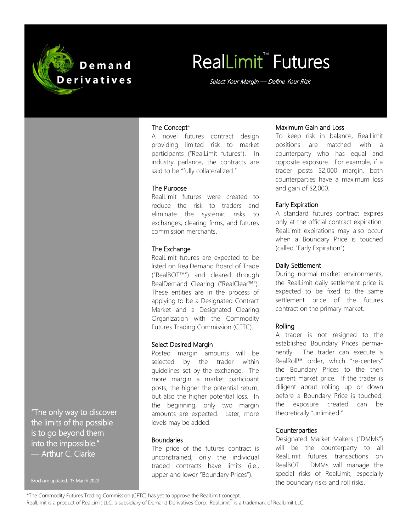

# **RealLimit<sup>™</sup> Futures**

Select Your Margin — Define Your Risk

#### The Concept\*

A novel futures contract design providing limited risk to market participants ("RealLimit futures"). In industry parlance, the contracts are said to be "fully collateralized."

#### The Purpose

RealLimit futures were created to reduce the risk to traders and eliminate the systemic risks to exchanges, clearing firms, and futures commission merchants.

#### The Exchange

RealLimit futures are expected to be listed on RealDemand Board of Trade ("RealBOT™") and cleared through RealDemand Clearing ("RealClear™"). These entities are in the process of applying to be a Designated Contract Market and a Designated Clearing Organization with the Commodity Futures Trading Commission (CFTC).

#### Select Desired Margin

Posted margin amounts will be selected by the trader within guidelines set by the exchange. The more margin a market participant posts, the higher the potential return, but also the higher potential loss. In the beginning, only two margin amounts are expected. Later, more levels may be added.

#### **Boundaries**

The price of the futures contract is unconstrained; only the individual traded contracts have limits (i.e., upper and lower "Boundary Prices").

#### Maximum Gain and Loss

To keep risk in balance, RealLimit positions are matched with a counterparty who has equal and opposite exposure. For example, if a trader posts \$2,000 margin, both counterparties have a maximum loss and gain of \$2,000.

#### Early Expiration

A standard futures contract expires only at the official contract expiration. RealLimit expirations may also occur when a Boundary Price is touched (called "Early Expiration").

#### Daily Settlement

During normal market environments, the RealLimit daily settlement price is expected to be fixed to the same settlement price of the futures contract on the primary market.

#### Rolling

A trader is not resigned to the established Boundary Prices permanently. The trader can execute a RealRoll™ order, which "re-centers" the Boundary Prices to the then current market price. If the trader is diligent about rolling up or down before a Boundary Price is touched, the exposure created can be theoretically "unlimited."

#### **Counterparties**

Designated Market Makers ("DMMs") will be the counterparty to all RealLimit futures transactions on RealBOT. DMMs will manage the special risks of RealLimit, especially the boundary risks and roll risks.

"The only way to discover the limits of the possible is to go beyond them into the impossible." — Arthur C. Clarke

Brochure updated: 15 March 2022

<sup>\*</sup>The Commodity Futures Trading Commission (CFTC) has yet to approve the RealLimit concept.

RealLimit is a product of RealLimit LLC, a subsidiary of Demand Derivatives Corp. RealLimit™ is a trademark of RealLimit LLC.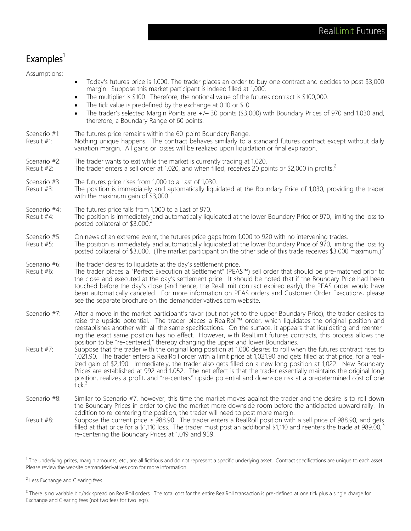### $Examples<sup>1</sup>$

Assumptions:

- Today's futures price is 1,000. The trader places an order to buy one contract and decides to post \$3,000 margin. Suppose this market participant is indeed filled at 1,000.
- The multiplier is \$100. Therefore, the notional value of the futures contract is \$100,000.
- The tick value is predefined by the exchange at 0.10 or \$10.
- The trader's selected Margin Points are  $+/-$  30 points (\$3,000) with Boundary Prices of 970 and 1,030 and, therefore, a Boundary Range of 60 points.

- Nothing unique happens. The contract behaves similarly to a standard futures contract except without daily variation margin. All gains or losses will be realized upon liquidation or final expiration.
- Scenario #2: The trader wants to exit while the market is currently trading at 1,020.
- Result  $#2$ : The trader enters a sell order at 1,020, and when filled, receives 20 points or \$2,000 in profits.<sup>2</sup>
- Scenario #3: The futures price rises from 1,000 to a Last of 1,030.
- Result #3: The position is immediately and automatically liquidated at the Boundary Price of 1,030, providing the trader with the maximum gain of  $$3,000.<sup>2</sup>$
- Scenario #4: The futures price falls from 1,000 to a Last of 970.<br>Result #4: The position is immediately and automatically liqu
- The position is immediately and automatically liquidated at the lower Boundary Price of 970, limiting the loss to posted collateral of \$3,000.<sup>2</sup>
- Scenario #5: On news of an extreme event, the futures price gaps from 1,000 to 920 with no intervening trades. Result #5: The position is immediately and automatically liquidated at the lower Boundary Price of 970, limiting the loss to posted collateral of \$3,000. (The market participant on the other side of this trade receives \$3,000 maximum.)<sup>2</sup>
- Scenario #6: The trader desires to liquidate at the day's settlement price. Result #6: The trader places a "Perfect Execution at Settlement" (PEAS™) sell order that should be pre-matched prior to the close and executed at the day's settlement price. It should be noted that if the Boundary Price had been touched before the day's close (and hence, the RealLimit contract expired early), the PEAS order would have been automatically canceled. For more information on PEAS orders and Customer Order Executions, please see the separate brochure on the demandderivatives.com website.
- Scenario #7: After a move in the market participant's favor (but not yet to the upper Boundary Price), the trader desires to raise the upside potential. The trader places a RealRoll™ order, which liquidates the original position and reestablishes another with all the same specifications. On the surface, it appears that liquidating and reentering the exact same position has no effect. However, with RealLimit futures contracts, this process allows the position to be "re-centered," thereby changing the upper and lower Boundaries.
- Result #7: Suppose that the trader with the original long position at 1,000 desires to roll when the futures contract rises to 1,021.90. The trader enters a RealRoll order with a limit price at 1,021.90 and gets filled at that price, for a realized gain of \$2,190. Immediately, the trader also gets filled on a new long position at 1,022. New Boundary Prices are established at 992 and 1,052. The net effect is that the trader essentially maintains the original long position, realizes a profit, and "re-centers" upside potential and downside risk at a predetermined cost of one tick.<sup>3</sup>
- Scenario #8: Similar to Scenario #7, however, this time the market moves against the trader and the desire is to roll down the Boundary Prices in order to give the market more downside room before the anticipated upward rally. In addition to re-centering the position, the trader will need to post more margin.
- Result #8: Suppose the current price is 988.90. The trader enters a RealRoll position with a sell price of 988.90, and gets filled at that price for a \$1,110 loss. The trader must post an additional \$1,110 and reenters the trade at 989.00,<sup>3</sup> re-centering the Boundary Prices at 1,019 and 959.

<sup>1</sup> The underlying prices, margin amounts, etc., are all fictitious and do not represent a specific underlying asset. Contract specifications are unique to each asset. Please review the website demandderivatives.com for more information.

<sup>2</sup> Less Exchange and Clearing fees.

<sup>3</sup> There is no variable bid/ask spread on RealRoll orders. The total cost for the entire RealRoll transaction is pre-defined at one tick plus a single charge for Exchange and Clearing fees (not two fees for two legs).

Scenario #1: The futures price remains within the 60-point Boundary Range.<br>Result #1: Nothing unique happens. The contract behaves similarly to a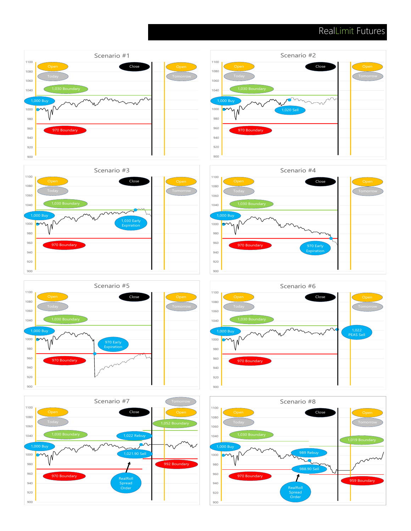## RealLimit Futures